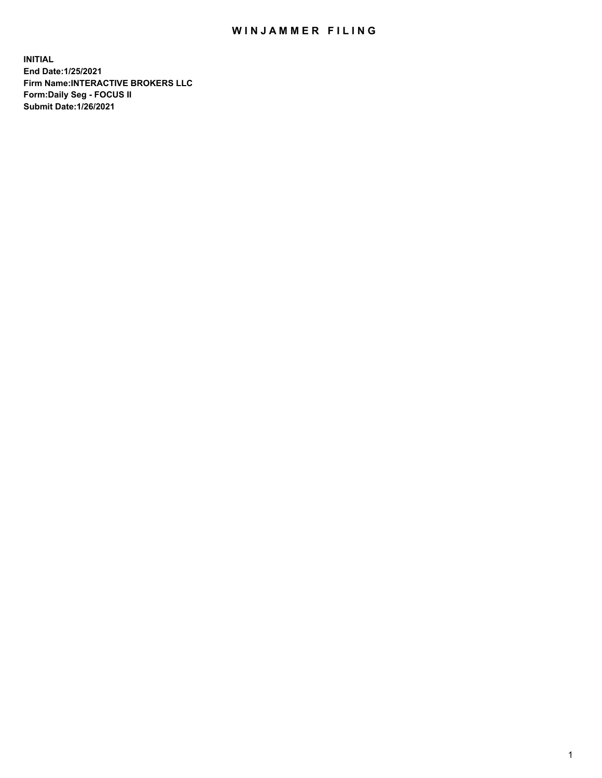## WIN JAMMER FILING

**INITIAL End Date:1/25/2021 Firm Name:INTERACTIVE BROKERS LLC Form:Daily Seg - FOCUS II Submit Date:1/26/2021**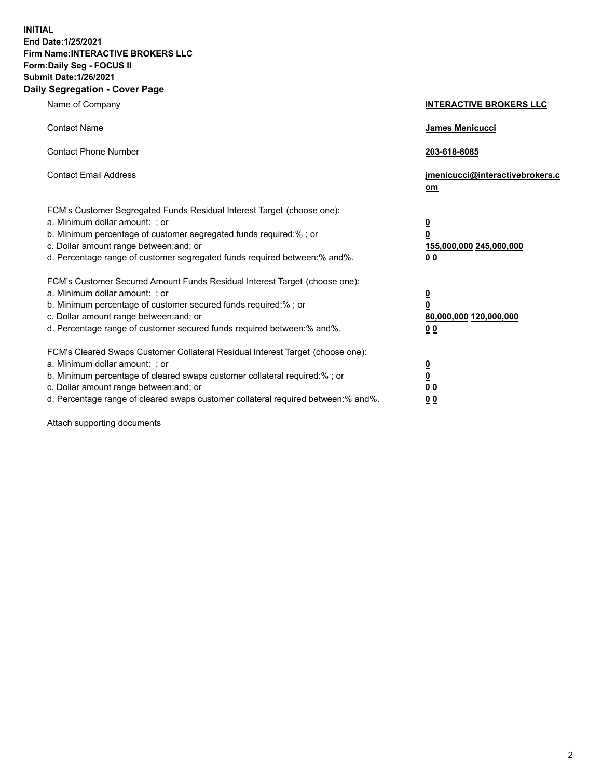**INITIAL End Date:1/25/2021 Firm Name:INTERACTIVE BROKERS LLC Form:Daily Seg - FOCUS II Submit Date:1/26/2021 Daily Segregation - Cover Page**

| Name of Company                                                                                                                                                                                                                                                                                                               | <b>INTERACTIVE BROKERS LLC</b>                                                            |  |
|-------------------------------------------------------------------------------------------------------------------------------------------------------------------------------------------------------------------------------------------------------------------------------------------------------------------------------|-------------------------------------------------------------------------------------------|--|
| <b>Contact Name</b>                                                                                                                                                                                                                                                                                                           | James Menicucci                                                                           |  |
| <b>Contact Phone Number</b>                                                                                                                                                                                                                                                                                                   | 203-618-8085                                                                              |  |
| <b>Contact Email Address</b>                                                                                                                                                                                                                                                                                                  | jmenicucci@interactivebrokers.c<br><u>om</u>                                              |  |
| FCM's Customer Segregated Funds Residual Interest Target (choose one):<br>a. Minimum dollar amount: ; or<br>b. Minimum percentage of customer segregated funds required:% ; or<br>c. Dollar amount range between: and; or<br>d. Percentage range of customer segregated funds required between: % and %.                      | $\overline{\mathbf{0}}$<br>0<br>155,000,000 245,000,000<br>0 <sub>0</sub>                 |  |
| FCM's Customer Secured Amount Funds Residual Interest Target (choose one):<br>a. Minimum dollar amount: ; or<br>b. Minimum percentage of customer secured funds required:%; or<br>c. Dollar amount range between: and; or<br>d. Percentage range of customer secured funds required between:% and%.                           | <u>0</u><br>$\overline{\mathbf{0}}$<br>80,000,000 120,000,000<br>00                       |  |
| FCM's Cleared Swaps Customer Collateral Residual Interest Target (choose one):<br>a. Minimum dollar amount: ; or<br>b. Minimum percentage of cleared swaps customer collateral required:%; or<br>c. Dollar amount range between: and; or<br>d. Percentage range of cleared swaps customer collateral required between:% and%. | <u>0</u><br>$\underline{\mathbf{0}}$<br>$\underline{0}$ $\underline{0}$<br>0 <sub>0</sub> |  |

Attach supporting documents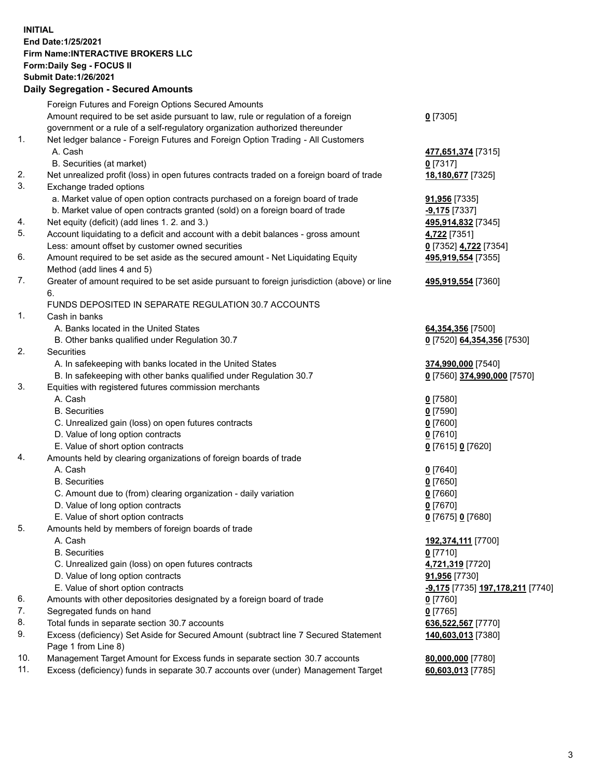**INITIAL End Date:1/25/2021 Firm Name:INTERACTIVE BROKERS LLC Form:Daily Seg - FOCUS II Submit Date:1/26/2021 Daily Segregation - Secured Amounts**

## Foreign Futures and Foreign Options Secured Amounts Amount required to be set aside pursuant to law, rule or regulation of a foreign government or a rule of a self-regulatory organization authorized thereunder **0** [7305] 1. Net ledger balance - Foreign Futures and Foreign Option Trading - All Customers A. Cash **477,651,374** [7315] B. Securities (at market) **0** [7317] 2. Net unrealized profit (loss) in open futures contracts traded on a foreign board of trade **18,180,677** [7325] 3. Exchange traded options a. Market value of open option contracts purchased on a foreign board of trade **91,956** [7335] b. Market value of open contracts granted (sold) on a foreign board of trade **-9,175** [7337] 4. Net equity (deficit) (add lines 1. 2. and 3.) **495,914,832** [7345] 5. Account liquidating to a deficit and account with a debit balances - gross amount **4,722** [7351] Less: amount offset by customer owned securities **0** [7352] **4,722** [7354] 6. Amount required to be set aside as the secured amount - Net Liquidating Equity Method (add lines 4 and 5) **495,919,554** [7355] 7. Greater of amount required to be set aside pursuant to foreign jurisdiction (above) or line 6. **495,919,554** [7360] FUNDS DEPOSITED IN SEPARATE REGULATION 30.7 ACCOUNTS 1. Cash in banks A. Banks located in the United States **64,354,356** [7500] B. Other banks qualified under Regulation 30.7 **0** [7520] **64,354,356** [7530] 2. Securities A. In safekeeping with banks located in the United States **374,990,000** [7540] B. In safekeeping with other banks qualified under Regulation 30.7 **0** [7560] **374,990,000** [7570] 3. Equities with registered futures commission merchants A. Cash **0** [7580] B. Securities **0** [7590] C. Unrealized gain (loss) on open futures contracts **0** [7600] D. Value of long option contracts **0** [7610] E. Value of short option contracts **0** [7615] **0** [7620] 4. Amounts held by clearing organizations of foreign boards of trade A. Cash **0** [7640] B. Securities **0** [7650] C. Amount due to (from) clearing organization - daily variation **0** [7660] D. Value of long option contracts **0** [7670] E. Value of short option contracts **0** [7675] **0** [7680] 5. Amounts held by members of foreign boards of trade A. Cash **192,374,111** [7700] B. Securities **0** [7710] C. Unrealized gain (loss) on open futures contracts **4,721,319** [7720] D. Value of long option contracts **91,956** [7730] E. Value of short option contracts **-9,175** [7735] **197,178,211** [7740] 6. Amounts with other depositories designated by a foreign board of trade **0** [7760] 7. Segregated funds on hand **0** [7765] 8. Total funds in separate section 30.7 accounts **636,522,567** [7770] 9. Excess (deficiency) Set Aside for Secured Amount (subtract line 7 Secured Statement Page 1 from Line 8) **140,603,013** [7380] 10. Management Target Amount for Excess funds in separate section 30.7 accounts **80,000,000** [7780] 11. Excess (deficiency) funds in separate 30.7 accounts over (under) Management Target **60,603,013** [7785]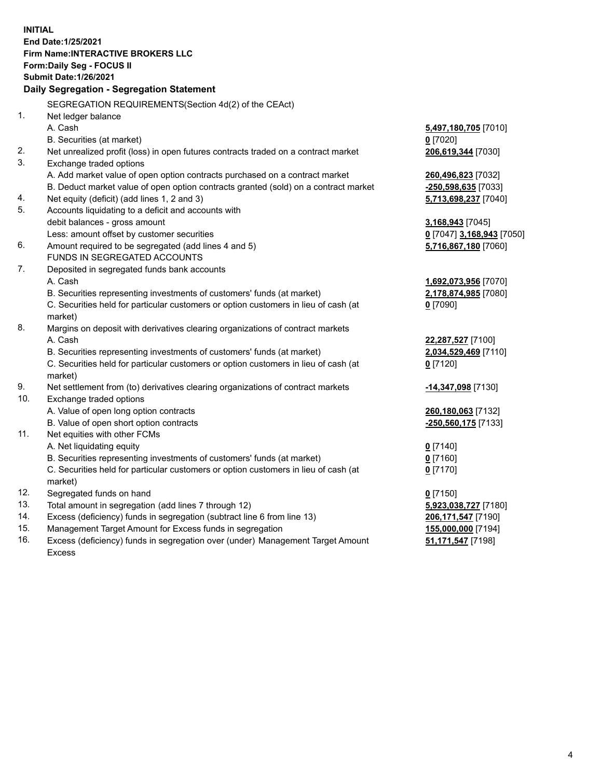**INITIAL End Date:1/25/2021 Firm Name:INTERACTIVE BROKERS LLC Form:Daily Seg - FOCUS II Submit Date:1/26/2021 Daily Segregation - Segregation Statement** SEGREGATION REQUIREMENTS(Section 4d(2) of the CEAct) 1. Net ledger balance A. Cash **5,497,180,705** [7010] B. Securities (at market) **0** [7020] 2. Net unrealized profit (loss) in open futures contracts traded on a contract market **206,619,344** [7030] 3. Exchange traded options A. Add market value of open option contracts purchased on a contract market **260,496,823** [7032] B. Deduct market value of open option contracts granted (sold) on a contract market **-250,598,635** [7033] 4. Net equity (deficit) (add lines 1, 2 and 3) **5,713,698,237** [7040] 5. Accounts liquidating to a deficit and accounts with debit balances - gross amount **3,168,943** [7045] Less: amount offset by customer securities **0** [7047] **3,168,943** [7050] 6. Amount required to be segregated (add lines 4 and 5) **5,716,867,180** [7060] FUNDS IN SEGREGATED ACCOUNTS 7. Deposited in segregated funds bank accounts A. Cash **1,692,073,956** [7070] B. Securities representing investments of customers' funds (at market) **2,178,874,985** [7080] C. Securities held for particular customers or option customers in lieu of cash (at market) **0** [7090] 8. Margins on deposit with derivatives clearing organizations of contract markets A. Cash **22,287,527** [7100] B. Securities representing investments of customers' funds (at market) **2,034,529,469** [7110] C. Securities held for particular customers or option customers in lieu of cash (at market) **0** [7120] 9. Net settlement from (to) derivatives clearing organizations of contract markets **-14,347,098** [7130] 10. Exchange traded options A. Value of open long option contracts **260,180,063** [7132] B. Value of open short option contracts **-250,560,175** [7133] 11. Net equities with other FCMs A. Net liquidating equity **0** [7140] B. Securities representing investments of customers' funds (at market) **0** [7160] C. Securities held for particular customers or option customers in lieu of cash (at market) **0** [7170] 12. Segregated funds on hand **0** [7150] 13. Total amount in segregation (add lines 7 through 12) **5,923,038,727** [7180] 14. Excess (deficiency) funds in segregation (subtract line 6 from line 13) **206,171,547** [7190] 15. Management Target Amount for Excess funds in segregation **155,000,000** [7194] **51,171,547** [7198]

16. Excess (deficiency) funds in segregation over (under) Management Target Amount Excess